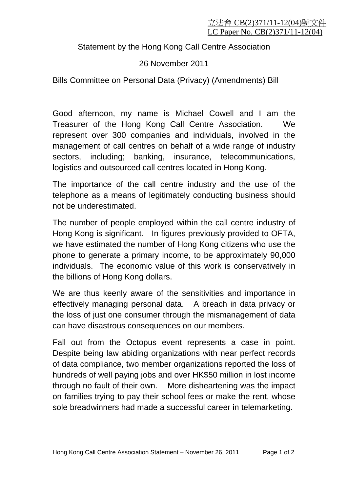Statement by the Hong Kong Call Centre Association

## 26 November 2011

Bills Committee on Personal Data (Privacy) (Amendments) Bill

Good afternoon, my name is Michael Cowell and I am the Treasurer of the Hong Kong Call Centre Association. We represent over 300 companies and individuals, involved in the management of call centres on behalf of a wide range of industry sectors, including; banking, insurance, telecommunications, logistics and outsourced call centres located in Hong Kong.

The importance of the call centre industry and the use of the telephone as a means of legitimately conducting business should not be underestimated.

The number of people employed within the call centre industry of Hong Kong is significant. In figures previously provided to OFTA, we have estimated the number of Hong Kong citizens who use the phone to generate a primary income, to be approximately 90,000 individuals. The economic value of this work is conservatively in the billions of Hong Kong dollars.

We are thus keenly aware of the sensitivities and importance in effectively managing personal data. A breach in data privacy or the loss of just one consumer through the mismanagement of data can have disastrous consequences on our members.

Fall out from the Octopus event represents a case in point. Despite being law abiding organizations with near perfect records of data compliance, two member organizations reported the loss of hundreds of well paying jobs and over HK\$50 million in lost income through no fault of their own. More disheartening was the impact on families trying to pay their school fees or make the rent, whose sole breadwinners had made a successful career in telemarketing.